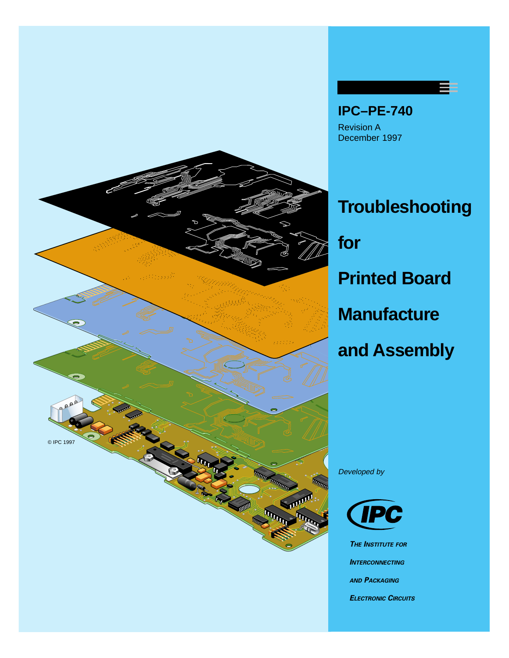



## **Troubleshooting for Printed Board Manufacture and Assembly**

Developed by



**THE INSTITUTE FOR INTERCONNECTING AND PACKAGING ELECTRONIC CIRCUITS**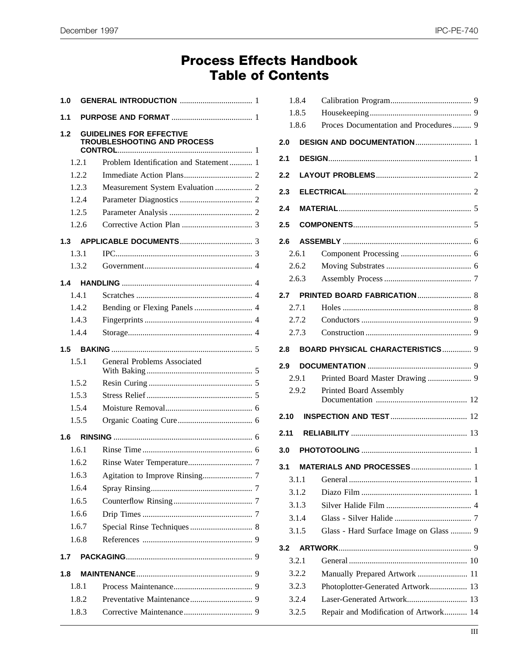## **Process Effects Handbook Table of Contents**

| 1.0 |       |                                                                |  |
|-----|-------|----------------------------------------------------------------|--|
| 1.1 |       |                                                                |  |
| 1.2 |       | <b>GUIDELINES FOR EFFECTIVE</b><br>TROUBLESHOOTING AND PROCESS |  |
|     | 1.2.1 | Problem Identification and Statement  1                        |  |
|     | 1.2.2 |                                                                |  |
|     | 1.2.3 | Measurement System Evaluation  2                               |  |
|     | 1.2.4 |                                                                |  |
|     | 1.2.5 |                                                                |  |
|     | 1.2.6 |                                                                |  |
| 1.3 |       |                                                                |  |
|     | 1.3.1 |                                                                |  |
|     | 1.3.2 |                                                                |  |
| 1.4 |       |                                                                |  |
|     | 141   |                                                                |  |
|     | 1.4.2 |                                                                |  |
|     | 1.4.3 |                                                                |  |
|     | 1.4.4 |                                                                |  |
| 1.5 |       |                                                                |  |
|     | 1.5.1 | General Problems Associated                                    |  |
|     | 1.5.2 |                                                                |  |
|     | 1.5.3 |                                                                |  |
|     | 1.5.4 |                                                                |  |
|     | 1.5.5 |                                                                |  |
| 1.6 |       |                                                                |  |
|     | 1.6.1 |                                                                |  |
|     | 1.6.2 |                                                                |  |
|     | 1.6.3 |                                                                |  |
|     | 1.6.4 |                                                                |  |
|     | 1.6.5 |                                                                |  |
|     | 1.6.6 |                                                                |  |
|     | 1.6.7 |                                                                |  |
|     | 1.6.8 |                                                                |  |
| 1.7 |       |                                                                |  |
| 1.8 |       |                                                                |  |
|     | 1.8.1 |                                                                |  |
|     | 1.8.2 |                                                                |  |
|     | 1.8.3 |                                                                |  |
|     |       |                                                                |  |

|                            | 1.8.4 |                                         |  |
|----------------------------|-------|-----------------------------------------|--|
|                            | 1.8.5 |                                         |  |
|                            | 1.8.6 | Proces Documentation and Procedures 9   |  |
| 2.0                        |       |                                         |  |
| 2.1                        |       |                                         |  |
| 2.2                        |       |                                         |  |
| 2.3                        |       |                                         |  |
| 2.4                        |       |                                         |  |
| 2.5                        |       |                                         |  |
| 2.6                        |       |                                         |  |
|                            | 2.6.1 |                                         |  |
|                            | 2.6.2 |                                         |  |
|                            | 2.6.3 |                                         |  |
| 2.7                        |       |                                         |  |
|                            | 2.7.1 |                                         |  |
|                            | 2.7.2 |                                         |  |
|                            | 2.7.3 |                                         |  |
| 2.8                        |       | <b>BOARD PHYSICAL CHARACTERISTICS 9</b> |  |
| 2.9                        |       |                                         |  |
|                            | 2.9.1 |                                         |  |
|                            | 2.9.2 | Printed Board Assembly                  |  |
|                            |       |                                         |  |
|                            |       |                                         |  |
|                            |       |                                         |  |
|                            |       |                                         |  |
| 2.10<br>2.11<br>3.0<br>3.1 |       |                                         |  |
|                            | 3.1.1 |                                         |  |
|                            | 3.1.2 |                                         |  |
|                            | 3.1.3 |                                         |  |
|                            | 3.1.4 |                                         |  |
|                            | 3.1.5 | Glass - Hard Surface Image on Glass  9  |  |
| 3.2                        |       |                                         |  |
|                            | 3.2.1 |                                         |  |
|                            | 3.2.2 | Manually Prepared Artwork  11           |  |
|                            | 3.2.3 | Photoplotter-Generated Artwork 13       |  |
|                            | 3.2.4 | Laser-Generated Artwork 13              |  |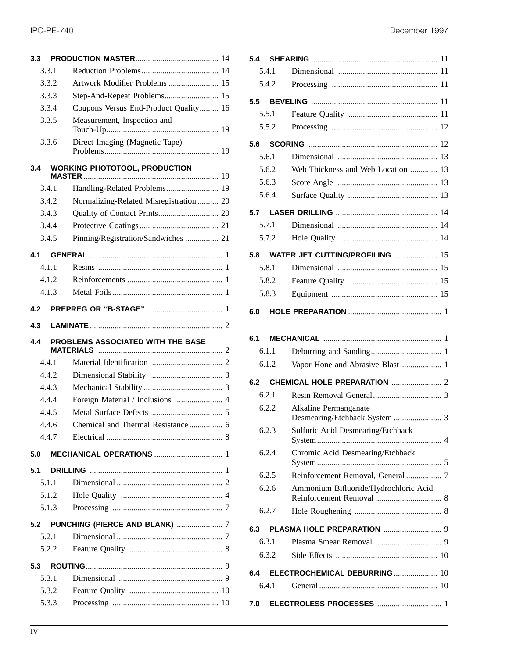| 3.3 |       |                                         |  |
|-----|-------|-----------------------------------------|--|
|     | 3.3.1 |                                         |  |
|     | 3.3.2 | Artwork Modifier Problems  15           |  |
|     | 3.3.3 | Step-And-Repeat Problems 15             |  |
|     | 3.3.4 | Coupons Versus End-Product Quality 16   |  |
|     | 3.3.5 | Measurement, Inspection and             |  |
|     | 3.3.6 | Direct Imaging (Magnetic Tape)          |  |
| 3.4 |       | <b>WORKING PHOTOTOOL, PRODUCTION</b>    |  |
|     | 3.4.1 | Handling-Related Problems 19            |  |
|     | 3.4.2 | Normalizing-Related Misregistration  20 |  |
|     | 3.4.3 |                                         |  |
|     | 3.4.4 |                                         |  |
|     | 3.4.5 | Pinning/Registration/Sandwiches  21     |  |
| 4.1 |       |                                         |  |
|     | 4.1.1 |                                         |  |
|     | 4.1.2 |                                         |  |
|     | 4.1.3 |                                         |  |
| 4.2 |       |                                         |  |
| 4.3 |       |                                         |  |
|     |       |                                         |  |
| 4.4 |       | PROBLEMS ASSOCIATED WITH THE BASE       |  |
|     | 4.4.1 |                                         |  |
|     | 4.4.2 |                                         |  |
|     | 4.4.3 |                                         |  |
|     | 4.4.4 |                                         |  |
|     | 4.4.5 |                                         |  |
|     | 4.4.6 | Chemical and Thermal Resistance  6      |  |
|     | 4.4.7 |                                         |  |
| 5.0 |       |                                         |  |
| 5.1 |       |                                         |  |
|     | 5.1.1 |                                         |  |
|     | 5.1.2 |                                         |  |
|     | 5.1.3 |                                         |  |
|     |       |                                         |  |
|     | 5.2.1 |                                         |  |
|     | 5.2.2 |                                         |  |
| 5.3 |       |                                         |  |
|     | 5.3.1 |                                         |  |
|     | 5.3.2 |                                         |  |

| December 1997 |  |
|---------------|--|
|---------------|--|

| 5.4.1 |                                                                    |
|-------|--------------------------------------------------------------------|
| 5.4.2 |                                                                    |
| 5.5   |                                                                    |
| 5.5.1 |                                                                    |
| 5.5.2 |                                                                    |
| 5.6   |                                                                    |
| 5.6.1 |                                                                    |
| 5.6.2 | Web Thickness and Web Location  13                                 |
| 5.6.3 |                                                                    |
| 5.6.4 |                                                                    |
| 5.7   |                                                                    |
| 5.7.1 |                                                                    |
| 5.7.2 |                                                                    |
| 5.8   | <b>WATER JET CUTTING/PROFILING  15</b>                             |
| 5.8.1 |                                                                    |
| 5.8.2 |                                                                    |
| 5.8.3 |                                                                    |
| 6.0   |                                                                    |
|       |                                                                    |
| 6.1   |                                                                    |
| 6.1.1 |                                                                    |
| 6.1.2 |                                                                    |
|       |                                                                    |
| 6.2   |                                                                    |
| 6.2.1 |                                                                    |
| 6.2.2 | Alkaline Permanganate                                              |
| 6.2.3 | Desmearing/Etchback System  3<br>Sulfuric Acid Desmearing/Etchback |
|       |                                                                    |
| 6.2.4 | Chromic Acid Desmearing/Etchback                                   |
| 6.2.5 | Reinforcement Removal, General  7                                  |
| 6.2.6 | Ammonium Bifluoride/Hydrochloric Acid                              |
| 6.2.7 |                                                                    |
| 6.3   |                                                                    |
| 6.3.1 |                                                                    |
| 6.3.2 |                                                                    |
| 6.4   | ELECTROCHEMICAL DEBURRING  10                                      |
| 6.4.1 |                                                                    |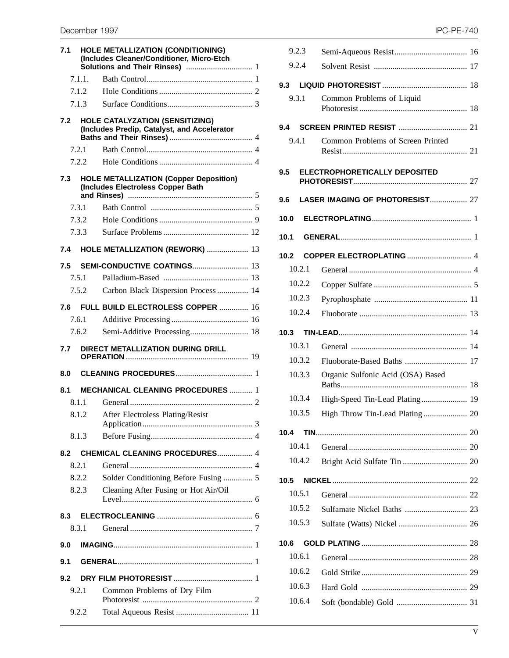| 7.1 |        | <b>HOLE METALLIZATION (CONDITIONING)</b><br>(Includes Cleaner/Conditioner, Micro-Etch |  |
|-----|--------|---------------------------------------------------------------------------------------|--|
|     | 7.1.1. |                                                                                       |  |
|     | 7.1.2  |                                                                                       |  |
|     | 7.1.3  |                                                                                       |  |
| 7.2 |        | <b>HOLE CATALYZATION (SENSITIZING)</b><br>(Includes Predip, Catalyst, and Accelerator |  |
|     | 7.2.1  |                                                                                       |  |
|     | 7.2.2  |                                                                                       |  |
| 7.3 |        | <b>HOLE METALLIZATION (Copper Deposition)</b><br>(Includes Electroless Copper Bath    |  |
|     | 7.3.1  |                                                                                       |  |
|     | 7.3.2  |                                                                                       |  |
|     | 7.3.3  |                                                                                       |  |
| 7.4 |        | HOLE METALLIZATION (REWORK)  13                                                       |  |
| 7.5 |        | <b>SEMI-CONDUCTIVE COATINGS 13</b>                                                    |  |
|     | 7.5.1  |                                                                                       |  |
|     | 7.5.2  | Carbon Black Dispersion Process  14                                                   |  |
| 7.6 |        | FULL BUILD ELECTROLESS COPPER  16                                                     |  |
|     | 7.6.1  |                                                                                       |  |
|     | 7.6.2  | Semi-Additive Processing 18                                                           |  |
| 7.7 |        | DIRECT METALLIZATION DURING DRILL                                                     |  |
| 8.0 |        |                                                                                       |  |
| 8.1 |        | <b>MECHANICAL CLEANING PROCEDURES  1</b>                                              |  |
|     | 8.1.1  |                                                                                       |  |
|     |        | 8.1.2 After Electroless Plating/Resist                                                |  |
|     | 8.1.3  |                                                                                       |  |
| 8.2 |        | <b>CHEMICAL CLEANING PROCEDURES 4</b>                                                 |  |
|     | 8.2.1  |                                                                                       |  |
|     | 8.2.2  | Solder Conditioning Before Fusing  5                                                  |  |
|     | 8.2.3  | Cleaning After Fusing or Hot Air/Oil                                                  |  |
| 8.3 |        |                                                                                       |  |
|     | 8.3.1  |                                                                                       |  |
| 9.0 |        |                                                                                       |  |
| 9.1 |        |                                                                                       |  |
| 9.2 |        |                                                                                       |  |
|     | 9.2.1  | Common Problems of Dry Film                                                           |  |
|     | 9.2.2  |                                                                                       |  |

| 9.2.3  |                                   |  |
|--------|-----------------------------------|--|
| 9.2.4  |                                   |  |
| 9.3    |                                   |  |
| 9.3.1  | Common Problems of Liquid         |  |
|        |                                   |  |
| 9.4.1  | Common Problems of Screen Printed |  |
| 9.5    | ELECTROPHORETICALLY DEPOSITED     |  |
| 9.6    | LASER IMAGING OF PHOTORESIST 27   |  |
| 10.0   |                                   |  |
| 10.1   |                                   |  |
| 10.2   |                                   |  |
| 10.2.1 |                                   |  |
| 10.2.2 |                                   |  |
| 10.2.3 |                                   |  |
| 10.2.4 |                                   |  |
| 10.3   |                                   |  |
| 10.3.1 |                                   |  |
| 10.3.2 | Fluoborate-Based Baths  17        |  |
| 10.3.3 | Organic Sulfonic Acid (OSA) Based |  |
| 10.3.4 | High-Speed Tin-Lead Plating 19    |  |
| 10.3.5 | High Throw Tin-Lead Plating 20    |  |
| 10.4   |                                   |  |
| 10.4.1 |                                   |  |
| 10.4.2 |                                   |  |
| 10.5   |                                   |  |
| 10.5.1 |                                   |  |
| 10.5.2 |                                   |  |
| 10.5.3 |                                   |  |
| 10.6   |                                   |  |
| 10.6.1 |                                   |  |
| 10.6.2 |                                   |  |
| 10.6.3 |                                   |  |
| 10.6.4 |                                   |  |
|        |                                   |  |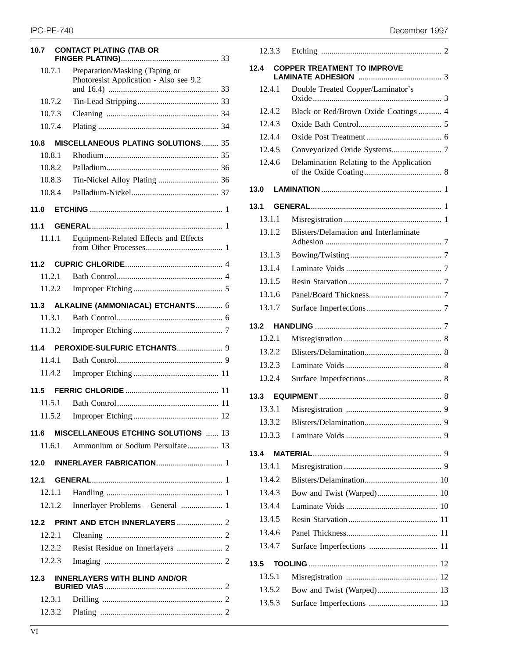| 10.7 |        | <b>CONTACT PLATING (TAB OR</b>                                           |  |
|------|--------|--------------------------------------------------------------------------|--|
|      | 10.7.1 | Preparation/Masking (Taping or<br>Photoresist Application - Also see 9.2 |  |
|      |        |                                                                          |  |
|      | 10.7.2 |                                                                          |  |
|      | 10.7.3 |                                                                          |  |
|      | 10.7.4 |                                                                          |  |
| 10.8 |        | <b>MISCELLANEOUS PLATING SOLUTIONS 35</b>                                |  |
|      | 10.8.1 |                                                                          |  |
|      | 10.8.2 |                                                                          |  |
|      | 10.8.3 |                                                                          |  |
|      | 10.8.4 |                                                                          |  |
| 11.0 |        |                                                                          |  |
| 11.1 |        |                                                                          |  |
|      | 11.1.1 | Equipment-Related Effects and Effects                                    |  |
| 11.2 |        |                                                                          |  |
|      | 11.2.1 |                                                                          |  |
|      | 11.2.2 |                                                                          |  |
| 11.3 |        | ALKALINE (AMMONIACAL) ETCHANTS 6                                         |  |
|      | 11.3.1 |                                                                          |  |
|      | 11.3.2 |                                                                          |  |
| 11.4 |        |                                                                          |  |
|      | 11.4.1 |                                                                          |  |
|      | 11.4.2 |                                                                          |  |
| 11.5 |        |                                                                          |  |
|      | 11.5.1 |                                                                          |  |
|      | 11.5.2 |                                                                          |  |
| 11.6 |        | <b>MISCELLANEOUS ETCHING SOLUTIONS  13</b>                               |  |
|      | 11.6.1 | Ammonium or Sodium Persulfate 13                                         |  |
| 12.0 |        |                                                                          |  |
| 12.1 |        |                                                                          |  |
|      | 12.1.1 |                                                                          |  |
|      | 12.1.2 | Innerlayer Problems - General  1                                         |  |
| 12.2 |        |                                                                          |  |
|      | 12.2.1 |                                                                          |  |
|      | 12.2.2 |                                                                          |  |
|      | 12.2.3 |                                                                          |  |
| 12.3 |        | <b>INNERLAYERS WITH BLIND AND/OR</b>                                     |  |
|      | 12.3.1 |                                                                          |  |
|      | 12.3.2 |                                                                          |  |
|      |        |                                                                          |  |

## IPC-PE-740 December 1997

| 12.3.3 |                                          |
|--------|------------------------------------------|
| 12.4   | <b>COPPER TREATMENT TO IMPROVE</b>       |
| 12.4.1 | Double Treated Copper/Laminator's        |
| 12.4.2 | Black or Red/Brown Oxide Coatings  4     |
| 12.4.3 |                                          |
| 12.4.4 |                                          |
| 12.4.5 |                                          |
| 12.4.6 | Delamination Relating to the Application |
| 13.0   |                                          |
| 13.1   |                                          |
| 13.1.1 |                                          |
| 13.1.2 | Blisters/Delamation and Interlaminate    |
| 13.1.3 |                                          |
| 13.1.4 |                                          |
| 13.1.5 |                                          |
| 13.1.6 |                                          |
| 13.1.7 |                                          |
| 13.2   |                                          |
| 13.2.1 |                                          |
| 13.2.2 |                                          |
| 13.2.3 |                                          |
| 13.2.4 |                                          |
| 13.3   |                                          |
| 13.3.1 |                                          |
| 13.3.2 |                                          |
| 13.3.3 |                                          |
| 13.4   |                                          |
| 13.4.1 |                                          |
| 13.4.2 |                                          |
| 13.4.3 |                                          |
| 13.4.4 |                                          |
| 13.4.5 |                                          |
| 13.4.6 |                                          |
| 13.4.7 |                                          |
| 13.5   |                                          |
| 13.5.1 |                                          |
| 13.5.2 |                                          |
| 13.5.3 |                                          |
|        |                                          |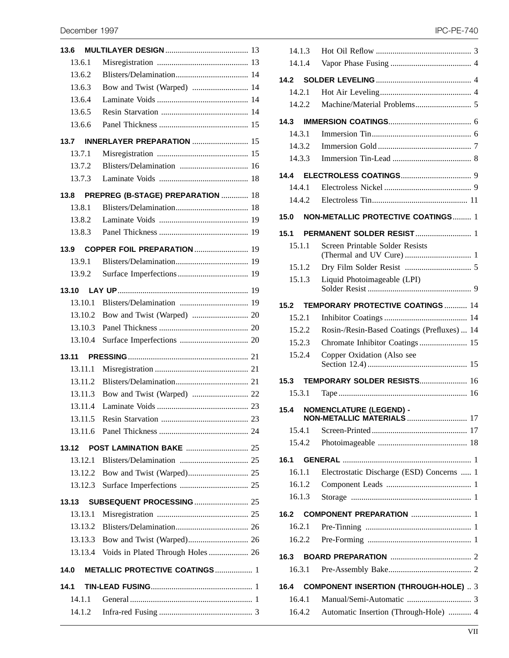| 13.6    |                                           |  |
|---------|-------------------------------------------|--|
| 13.6.1  |                                           |  |
| 13.6.2  |                                           |  |
| 13.6.3  | Bow and Twist (Warped)  14                |  |
| 13.6.4  |                                           |  |
| 13.6.5  |                                           |  |
| 13.6.6  |                                           |  |
| 13.7    | <b>INNERLAYER PREPARATION</b> 15          |  |
| 13.7.1  |                                           |  |
| 13.7.2  |                                           |  |
| 13.7.3  |                                           |  |
| 13.8    | PREPREG (B-STAGE) PREPARATION  18         |  |
| 13.8.1  |                                           |  |
| 13.8.2  |                                           |  |
| 13.8.3  |                                           |  |
|         | 13.9 COPPER FOIL PREPARATION  19          |  |
| 13.9.1  |                                           |  |
| 13.9.2  |                                           |  |
| 13.10   |                                           |  |
| 13.10.1 |                                           |  |
| 13.10.2 |                                           |  |
| 13.10.3 |                                           |  |
| 13.10.4 |                                           |  |
| 13.11   |                                           |  |
| 13.11.1 |                                           |  |
| 13.11.2 |                                           |  |
| 13.11.3 |                                           |  |
| 13.11.4 |                                           |  |
| 13.11.5 |                                           |  |
| 13.11.6 |                                           |  |
| 13.12   | <b>POST LAMINATION BAKE  25</b>           |  |
| 13.12.1 |                                           |  |
|         |                                           |  |
| 13.12.3 |                                           |  |
| 13.13   | <b>SUBSEQUENT PROCESSING  25</b>          |  |
| 13.13.1 |                                           |  |
| 13.13.2 |                                           |  |
| 13.13.3 |                                           |  |
|         | 13.13.4 Voids in Plated Through Holes  26 |  |
| 14.0    | <b>METALLIC PROTECTIVE COATINGS  1</b>    |  |
| 14.1    |                                           |  |
| 14.1.1  |                                           |  |
| 14.1.2  |                                           |  |

| 14.1.3 |                                             |
|--------|---------------------------------------------|
| 14.1.4 |                                             |
| 14.2   |                                             |
| 14.2.1 |                                             |
| 14.2.2 |                                             |
| 14.3   |                                             |
| 14.3.1 |                                             |
| 14.3.2 |                                             |
| 14.3.3 |                                             |
| 14.4   |                                             |
| 14.4.1 |                                             |
| 14.4.2 |                                             |
|        |                                             |
| 15.0   | <b>NON-METALLIC PROTECTIVE COATINGS 1</b>   |
| 15.1   |                                             |
| 15.1.1 | Screen Printable Solder Resists             |
| 15.1.2 |                                             |
| 15.1.3 | Liquid Photoimageable (LPI)                 |
|        |                                             |
| 15.2   | <b>TEMPORARY PROTECTIVE COATINGS  14</b>    |
| 15.2.1 |                                             |
| 15.2.2 | Rosin-/Resin-Based Coatings (Prefluxes)  14 |
| 15.2.3 | Chromate Inhibitor Coatings 15              |
| 15.2.4 | Copper Oxidation (Also see                  |
| 15.3   | <b>TEMPORARY SOLDER RESISTS 16</b>          |
| 15.3.1 |                                             |
|        | 15.4 NOMENCLATURE (LEGEND) -                |
| 15.4.1 |                                             |
| 15.4.2 |                                             |
| 16.1   |                                             |
| 16.1.1 | Electrostatic Discharge (ESD) Concerns  1   |
| 16.1.2 |                                             |
| 16.1.3 |                                             |
| 16.2   |                                             |
| 16.2.1 |                                             |
| 16.2.2 |                                             |
| 16.3   |                                             |
| 16.3.1 |                                             |
|        |                                             |
| 16.4   | <b>COMPONENT INSERTION (THROUGH-HOLE)</b> 3 |
| 16.4.1 |                                             |
| 16.4.2 | Automatic Insertion (Through-Hole)  4       |